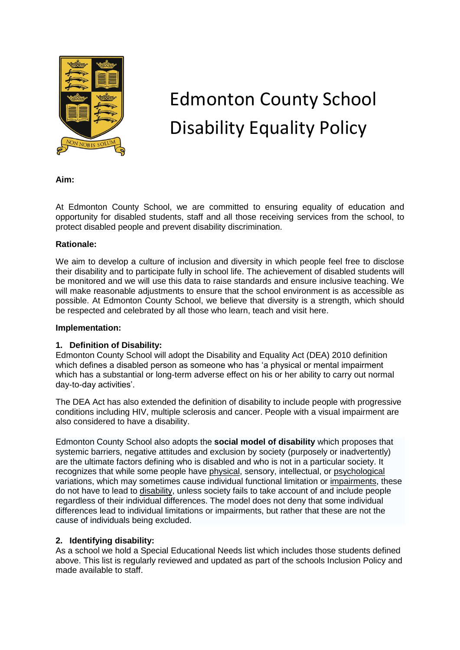

# Edmonton County School Disability Equality Policy

**Aim:**

At Edmonton County School, we are committed to ensuring equality of education and opportunity for disabled students, staff and all those receiving services from the school, to protect disabled people and prevent disability discrimination.

#### **Rationale:**

We aim to develop a culture of inclusion and diversity in which people feel free to disclose their disability and to participate fully in school life. The achievement of disabled students will be monitored and we will use this data to raise standards and ensure inclusive teaching. We will make reasonable adjustments to ensure that the school environment is as accessible as possible. At Edmonton County School, we believe that diversity is a strength, which should be respected and celebrated by all those who learn, teach and visit here.

#### **Implementation:**

### **1. Definition of Disability:**

Edmonton County School will adopt the Disability and Equality Act (DEA) 2010 definition which defines a disabled person as someone who has 'a physical or mental impairment which has a substantial or long-term adverse effect on his or her ability to carry out normal day-to-day activities'.

The DEA Act has also extended the definition of disability to include people with progressive conditions including HIV, multiple sclerosis and cancer. People with a visual impairment are also considered to have a disability.

Edmonton County School also adopts the **social model of disability** which proposes that systemic barriers, negative attitudes and exclusion by society (purposely or inadvertently) are the ultimate factors defining who is disabled and who is not in a particular society. It recognizes that while some people have [physical,](http://en.wikipedia.org/wiki/Physiology) sensory, intellectual, or [psychological](http://en.wikipedia.org/wiki/Psychology) variations, which may sometimes cause individual functional limitation or [impairments,](http://en.wikipedia.org/wiki/Impairment) these do not have to lead to [disability,](http://en.wikipedia.org/wiki/Disability) unless society fails to take account of and include people regardless of their individual differences. The model does not deny that some individual differences lead to individual limitations or impairments, but rather that these are not the cause of individuals being excluded.

### **2. Identifying disability:**

As a school we hold a Special Educational Needs list which includes those students defined above. This list is regularly reviewed and updated as part of the schools Inclusion Policy and made available to staff.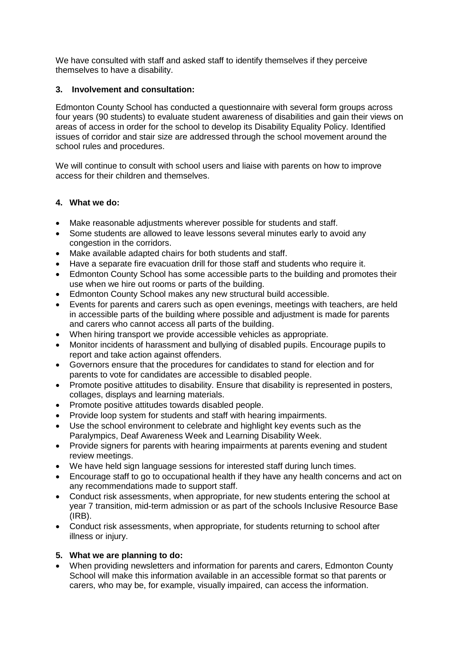We have consulted with staff and asked staff to identify themselves if they perceive themselves to have a disability.

## **3. Involvement and consultation:**

Edmonton County School has conducted a questionnaire with several form groups across four years (90 students) to evaluate student awareness of disabilities and gain their views on areas of access in order for the school to develop its Disability Equality Policy. Identified issues of corridor and stair size are addressed through the school movement around the school rules and procedures.

We will continue to consult with school users and liaise with parents on how to improve access for their children and themselves.

### **4. What we do:**

- Make reasonable adjustments wherever possible for students and staff.
- Some students are allowed to leave lessons several minutes early to avoid any congestion in the corridors.
- Make available adapted chairs for both students and staff.
- Have a separate fire evacuation drill for those staff and students who require it.
- Edmonton County School has some accessible parts to the building and promotes their use when we hire out rooms or parts of the building.
- Edmonton County School makes any new structural build accessible.
- Events for parents and carers such as open evenings, meetings with teachers, are held in accessible parts of the building where possible and adjustment is made for parents and carers who cannot access all parts of the building.
- When hiring transport we provide accessible vehicles as appropriate.
- Monitor incidents of harassment and bullying of disabled pupils. Encourage pupils to report and take action against offenders.
- Governors ensure that the procedures for candidates to stand for election and for parents to vote for candidates are accessible to disabled people.
- Promote positive attitudes to disability. Ensure that disability is represented in posters, collages, displays and learning materials.
- Promote positive attitudes towards disabled people.
- Provide loop system for students and staff with hearing impairments.
- Use the school environment to celebrate and highlight key events such as the Paralympics, Deaf Awareness Week and Learning Disability Week.
- Provide signers for parents with hearing impairments at parents evening and student review meetings.
- We have held sign language sessions for interested staff during lunch times.
- Encourage staff to go to occupational health if they have any health concerns and act on any recommendations made to support staff.
- Conduct risk assessments, when appropriate, for new students entering the school at year 7 transition, mid-term admission or as part of the schools Inclusive Resource Base (IRB).
- Conduct risk assessments, when appropriate, for students returning to school after illness or injury.

### **5. What we are planning to do:**

 When providing newsletters and information for parents and carers, Edmonton County School will make this information available in an accessible format so that parents or carers, who may be, for example, visually impaired, can access the information.